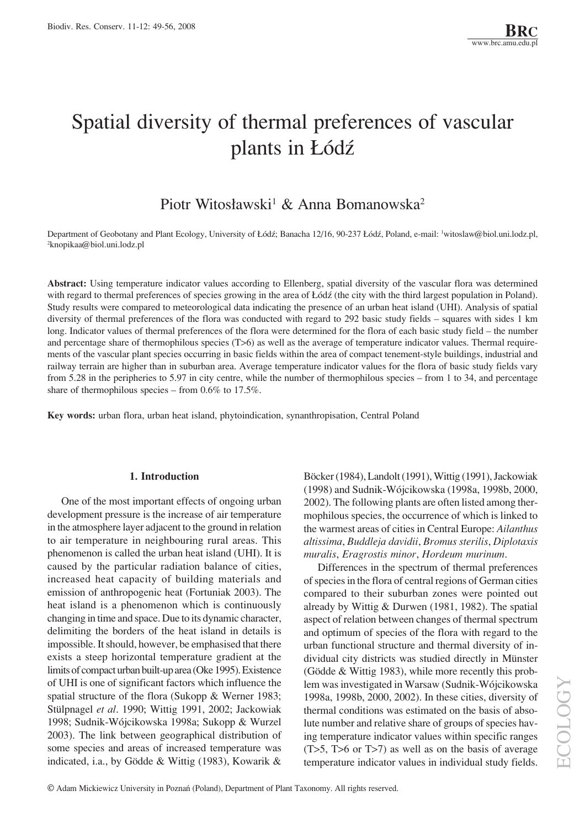# Spatial diversity of thermal preferences of vascular plants in Łódź

# Piotr Witosławski<sup>1</sup> & Anna Bomanowska<sup>2</sup>

Department of Geobotany and Plant Ecology, University of Łódź; Banacha 12/16, 90-237 Łódź, Poland, e-mail: <sup>1</sup>witoslaw@biol.uni.lodz.pl, 2 knopikaa@biol.uni.lodz.pl

**Abstract:** Using temperature indicator values according to Ellenberg, spatial diversity of the vascular flora was determined with regard to thermal preferences of species growing in the area of Łódź (the city with the third largest population in Poland). Study results were compared to meteorological data indicating the presence of an urban heat island (UHI). Analysis of spatial diversity of thermal preferences of the flora was conducted with regard to  $292$  basic study fields – squares with sides 1 km long. Indicator values of thermal preferences of the flora were determined for the flora of each basic study field – the number and percentage share of thermophilous species (T>6) as well as the average of temperature indicator values. Thermal requirements of the vascular plant species occurring in basic fields within the area of compact tenement-style buildings, industrial and railway terrain are higher than in suburban area. Average temperature indicator values for the flora of basic study fields vary from 5.28 in the peripheries to 5.97 in city centre, while the number of thermophilous species  $-$  from 1 to 34, and percentage share of thermophilous species – from  $0.6\%$  to  $17.5\%$ .

**Key words:** urban flora, urban heat island, phytoindication, synanthropisation, Central Poland

#### **1. Introduction**

One of the most important effects of ongoing urban development pressure is the increase of air temperature in the atmosphere layer adjacent to the ground in relation to air temperature in neighbouring rural areas. This phenomenon is called the urban heat island (UHI). It is caused by the particular radiation balance of cities, increased heat capacity of building materials and emission of anthropogenic heat (Fortuniak 2003). The heat island is a phenomenon which is continuously changing in time and space. Due to its dynamic character, delimiting the borders of the heat island in details is impossible. It should, however, be emphasised that there exists a steep horizontal temperature gradient at the limits of compact urban built-up area (Oke 1995). Existence of UHI is one of significant factors which influence the spatial structure of the flora (Sukopp & Werner 1983; Stülpnagel et al. 1990; Wittig 1991, 2002; Jackowiak 1998; Sudnik-WÛjcikowska 1998a; Sukopp & Wurzel 2003). The link between geographical distribution of some species and areas of increased temperature was indicated, i.a., by Gödde & Wittig  $(1983)$ , Kowarik & Bˆcker (1984), Landolt (1991), Wittig (1991), Jackowiak (1998) and Sudnik-WÛjcikowska (1998a, 1998b, 2000, 2002). The following plants are often listed among thermophilous species, the occurrence of which is linked to the warmest areas of cities in Central Europe: *Ailanthus altissima*, *Buddleja davidii*, *Bromus sterilis*, *Diplotaxis muralis*, *Eragrostis minor*, *Hordeum murinum*.

Differences in the spectrum of thermal preferences of species in the flora of central regions of German cities compared to their suburban zones were pointed out already by Wittig & Durwen (1981, 1982). The spatial aspect of relation between changes of thermal spectrum and optimum of species of the flora with regard to the urban functional structure and thermal diversity of individual city districts was studied directly in Münster (Gödde & Wittig 1983), while more recently this problem was investigated in Warsaw (Sudnik-Wójcikowska 1998a, 1998b, 2000, 2002). In these cities, diversity of thermal conditions was estimated on the basis of absolute number and relative share of groups of species having temperature indicator values within specific ranges (T>5, T>6 or T>7) as well as on the basis of average temperature indicator values in individual study fields.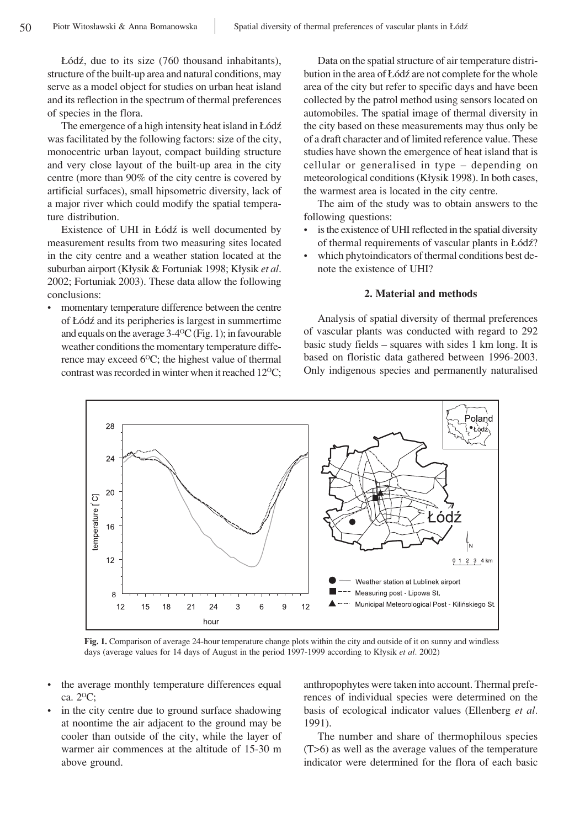£Ûdü, due to its size (760 thousand inhabitants), structure of the built-up area and natural conditions, may serve as a model object for studies on urban heat island and its reflection in the spectrum of thermal preferences of species in the flora.

The emergence of a high intensity heat island in Łódź was facilitated by the following factors: size of the city, monocentric urban layout, compact building structure and very close layout of the built-up area in the city centre (more than 90% of the city centre is covered by artificial surfaces), small hipsometric diversity, lack of a major river which could modify the spatial temperature distribution.

Existence of UHI in Łódź is well documented by measurement results from two measuring sites located in the city centre and a weather station located at the suburban airport (K≥ysik & Fortuniak 1998; K≥ysik *et al*. 2002; Fortuniak 2003). These data allow the following conclusions:

momentary temperature difference between the centre of £Ûdü and its peripheries is largest in summertime and equals on the average  $3-4$ <sup>o</sup>C (Fig. 1); in favourable weather conditions the momentary temperature difference may exceed  $6^{\circ}$ C; the highest value of thermal contrast was recorded in winter when it reached  $12^{\circ}$ C;

Data on the spatial structure of air temperature distribution in the area of Łódź are not complete for the whole area of the city but refer to specific days and have been collected by the patrol method using sensors located on automobiles. The spatial image of thermal diversity in the city based on these measurements may thus only be of a draft character and of limited reference value. These studies have shown the emergence of heat island that is cellular or generalised in type  $-$  depending on meteorological conditions (Kłysik 1998). In both cases, the warmest area is located in the city centre.

The aim of the study was to obtain answers to the following questions:

- is the existence of UHI reflected in the spatial diversity of thermal requirements of vascular plants in Łódź?
- which phytoindicators of thermal conditions best denote the existence of UHI?

#### **2. Material and methods**

Analysis of spatial diversity of thermal preferences of vascular plants was conducted with regard to 292 basic study fields  $-$  squares with sides 1 km long. It is based on floristic data gathered between 1996-2003. Only indigenous species and permanently naturalised



**Fig. 1.** Comparison of average 24-hour temperature change plots within the city and outside of it on sunny and windless days (average values for 14 days of August in the period 1997-1999 according to Kłysik *et al.* 2002)

- the average monthly temperature differences equal ca. 2OC;
- in the city centre due to ground surface shadowing at noontime the air adjacent to the ground may be cooler than outside of the city, while the layer of warmer air commences at the altitude of 15-30 m above ground.

anthropophytes were taken into account. Thermal preferences of individual species were determined on the basis of ecological indicator values (Ellenberg *et al.* 1991).

The number and share of thermophilous species (T>6) as well as the average values of the temperature indicator were determined for the flora of each basic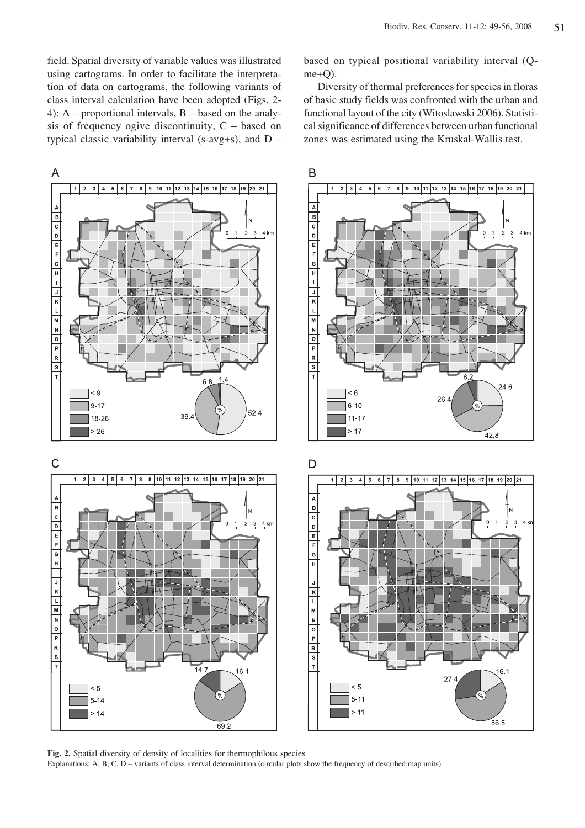field. Spatial diversity of variable values was illustrated using cartograms. In order to facilitate the interpretation of data on cartograms, the following variants of class interval calculation have been adopted (Figs. 2- 4): A – proportional intervals, B – based on the analysis of frequency ogive discontinuity,  $C -$  based on typical classic variability interval (s-avg+s), and  $D -$  based on typical positional variability interval (Qme+Q).

Diversity of thermal preferences for species in floras of basic study fields was confronted with the urban and functional layout of the city (Witosławski 2006). Statistical significance of differences between urban functional zones was estimated using the Kruskal-Wallis test.



**Fig. 2.** Spatial diversity of density of localities for thermophilous species Explanations:  $A, B, C, D$  – variants of class interval determination (circular plots show the frequency of described map units)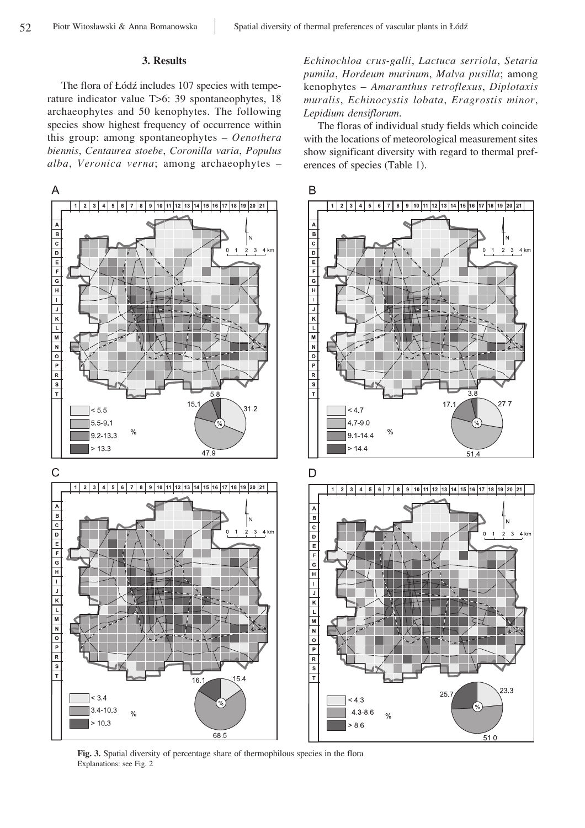## **3. Results**

The flora of Łódź includes 107 species with temperature indicator value T>6: 39 spontaneophytes, 18 archaeophytes and 50 kenophytes. The following species show highest frequency of occurrence within this group: among spontaneophytes - Oenothera *biennis*, *Centaurea stoebe*, *Coronilla varia*, *Populus alba*, Veronica verna; among archaeophytes - *Echinochloa crus-galli*, *Lactuca serriola*, *Setaria pumila*, *Hordeum murinum*, *Malva pusilla*; among kenophytes ñ *Amaranthus retroflexus*, *Diplotaxis muralis*, *Echinocystis lobata*, *Eragrostis minor*, *Lepidium densiflorum*.

The floras of individual study fields which coincide with the locations of meteorological measurement sites show significant diversity with regard to thermal preferences of species (Table 1).



**Fig. 3.** Spatial diversity of percentage share of thermophilous species in the flora Explanations: see Fig. 2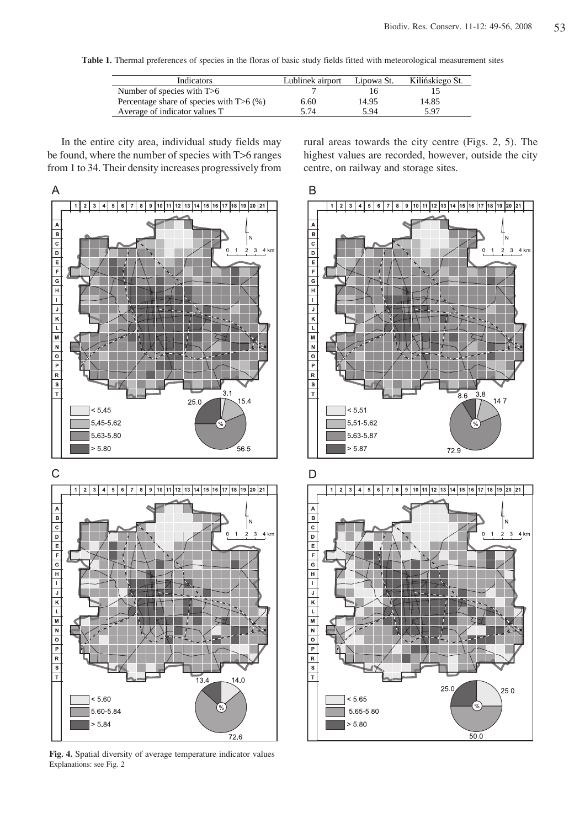**Table 1.** Thermal preferences of species in the floras of basic study fields fitted with meteorological measurement sites

| <b>Indicators</b>                          | Lublinek airport | Lipowa St. | Kilińskiego St. |
|--------------------------------------------|------------------|------------|-----------------|
| Number of species with $T>6$               |                  |            |                 |
| Percentage share of species with $T>6$ (%) | 6.60             | 14.95      | 14.85           |
| Average of indicator values T              | 5.74             | 5.94       | 5.97            |

In the entire city area, individual study fields may be found, where the number of species with T>6 ranges from 1 to 34. Their density increases progressively from



**Fig. 4.** Spatial diversity of average temperature indicator values Explanations: see Fig. 2

 $72.6$ 

rural areas towards the city centre (Figs. 2, 5). The highest values are recorded, however, outside the city centre, on railway and storage sites.

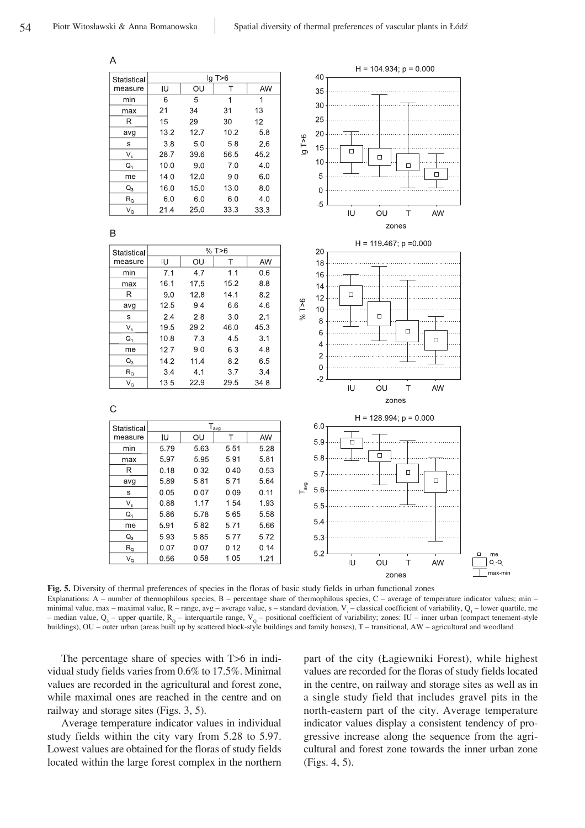

**Fig. 5.** Diversity of thermal preferences of species in the floras of basic study fields in urban functional zones Explanations: A  $-$  number of thermophilous species, B  $-$  percentage share of thermophilous species, C  $-$  average of temperature indicator values; min  $$ minimal value, max – maximal value,  $R$  – range, avg – average value, s – standard deviation,  $V_s$  – classical coefficient of variability,  $Q_1$  – lower quartile, me – median value,  $Q_3$  – upper quartile,  $R_Q$  – interquartile range,  $V_Q$  – positional coefficient of variability; zones: IU – inner urban (compact tenement-style buildings), OU – outer urban (areas built up by scattered block-style buildings and family houses), T – transitional, AW – agricultural and woodland

The percentage share of species with T>6 in individual study fields varies from 0.6% to 17.5%. Minimal values are recorded in the agricultural and forest zone, while maximal ones are reached in the centre and on railway and storage sites (Figs. 3, 5).

Average temperature indicator values in individual study fields within the city vary from 5.28 to 5.97. Lowest values are obtained for the floras of study fields located within the large forest complex in the northern part of the city (£agiewniki Forest), while highest values are recorded for the floras of study fields located in the centre, on railway and storage sites as well as in a single study field that includes gravel pits in the north-eastern part of the city. Average temperature indicator values display a consistent tendency of progressive increase along the sequence from the agricultural and forest zone towards the inner urban zone (Figs. 4, 5).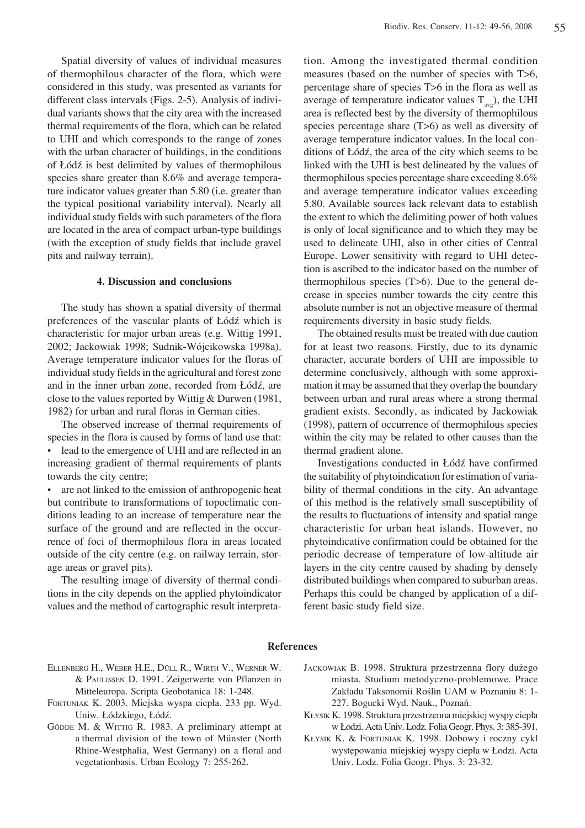Spatial diversity of values of individual measures of thermophilous character of the flora, which were considered in this study, was presented as variants for different class intervals (Figs. 2-5). Analysis of individual variants shows that the city area with the increased thermal requirements of the flora, which can be related to UHI and which corresponds to the range of zones with the urban character of buildings, in the conditions of £Ûdü is best delimited by values of thermophilous species share greater than 8.6% and average temperature indicator values greater than 5.80 (i.e. greater than the typical positional variability interval). Nearly all individual study fields with such parameters of the flora are located in the area of compact urban-type buildings (with the exception of study fields that include gravel pits and railway terrain).

#### **4. Discussion and conclusions**

The study has shown a spatial diversity of thermal preferences of the vascular plants of Łódź which is characteristic for major urban areas (e.g. Wittig 1991, 2002; Jackowiak 1998; Sudnik-Wójcikowska 1998a). Average temperature indicator values for the floras of individual study fields in the agricultural and forest zone and in the inner urban zone, recorded from Łódź, are close to the values reported by Wittig & Durwen (1981, 1982) for urban and rural floras in German cities.

The observed increase of thermal requirements of species in the flora is caused by forms of land use that:

lead to the emergence of UHI and are reflected in an increasing gradient of thermal requirements of plants towards the city centre;

are not linked to the emission of anthropogenic heat but contribute to transformations of topoclimatic conditions leading to an increase of temperature near the surface of the ground and are reflected in the occurrence of foci of thermophilous flora in areas located outside of the city centre (e.g. on railway terrain, storage areas or gravel pits).

The resulting image of diversity of thermal conditions in the city depends on the applied phytoindicator values and the method of cartographic result interpretation. Among the investigated thermal condition measures (based on the number of species with T>6, percentage share of species T>6 in the flora as well as average of temperature indicator values  $T_{\text{ave}}$ ), the UHI area is reflected best by the diversity of thermophilous species percentage share  $(T>6)$  as well as diversity of average temperature indicator values. In the local conditions of Łódź, the area of the city which seems to be linked with the UHI is best delineated by the values of thermophilous species percentage share exceeding 8.6% and average temperature indicator values exceeding 5.80. Available sources lack relevant data to establish the extent to which the delimiting power of both values is only of local significance and to which they may be used to delineate UHI, also in other cities of Central Europe. Lower sensitivity with regard to UHI detection is ascribed to the indicator based on the number of thermophilous species (T>6). Due to the general decrease in species number towards the city centre this absolute number is not an objective measure of thermal requirements diversity in basic study fields.

The obtained results must be treated with due caution for at least two reasons. Firstly, due to its dynamic character, accurate borders of UHI are impossible to determine conclusively, although with some approximation it may be assumed that they overlap the boundary between urban and rural areas where a strong thermal gradient exists. Secondly, as indicated by Jackowiak (1998), pattern of occurrence of thermophilous species within the city may be related to other causes than the thermal gradient alone.

Investigations conducted in Łódź have confirmed the suitability of phytoindication for estimation of variability of thermal conditions in the city. An advantage of this method is the relatively small susceptibility of the results to fluctuations of intensity and spatial range characteristic for urban heat islands. However, no phytoindicative confirmation could be obtained for the periodic decrease of temperature of low-altitude air layers in the city centre caused by shading by densely distributed buildings when compared to suburban areas. Perhaps this could be changed by application of a different basic study field size.

## **References**

- ELLENBERG H., WEBER H.E., DULL R., WIRTH V., WERNER W. & PAULISSEN D. 1991. Zeigerwerte von Pflanzen in Mitteleuropa. Scripta Geobotanica 18: 1-248.
- FORTUNIAK K. 2003. Miejska wyspa ciepła. 233 pp. Wyd. Uniw. Łódzkiego, Łódź.
- GÖDDE M. & WITTIG R. 1983. A preliminary attempt at a thermal division of the town of Münster (North Rhine-Westphalia, West Germany) on a floral and vegetationbasis. Urban Ecology 7: 255-262.
- JACKOWIAK B. 1998. Struktura przestrzenna flory dużego miasta. Studium metodyczno-problemowe. Prace Zakładu Taksonomii Roślin UAM w Poznaniu 8: 1-227. Bogucki Wyd. Nauk., Poznań.
- KŁYSIK K. 1998. Struktura przestrzenna miejskiej wyspy ciepła w £odzi. Acta Univ. Lodz. Folia Geogr. Phys. 3: 385-391.
- K£YSIK K. & FORTUNIAK K. 1998. Dobowy i roczny cykl występowania miejskiej wyspy ciepła w Łodzi. Acta Univ. Lodz. Folia Geogr. Phys. 3: 23-32.